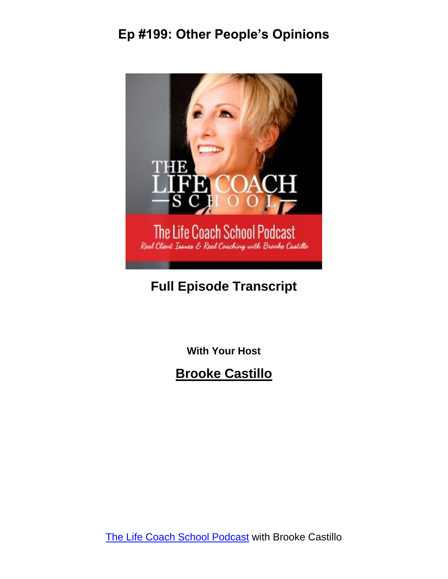

### **Full Episode Transcript**

**With Your Host**

**Brooke Castillo**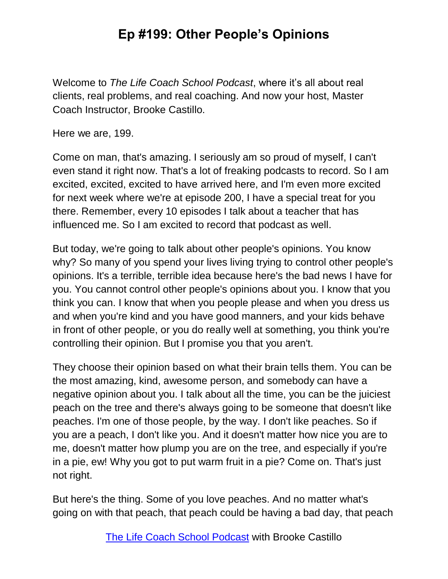Welcome to *The Life Coach School Podcast*, where it's all about real clients, real problems, and real coaching. And now your host, Master Coach Instructor, Brooke Castillo.

Here we are, 199.

Come on man, that's amazing. I seriously am so proud of myself, I can't even stand it right now. That's a lot of freaking podcasts to record. So I am excited, excited, excited to have arrived here, and I'm even more excited for next week where we're at episode 200, I have a special treat for you there. Remember, every 10 episodes I talk about a teacher that has influenced me. So I am excited to record that podcast as well.

But today, we're going to talk about other people's opinions. You know why? So many of you spend your lives living trying to control other people's opinions. It's a terrible, terrible idea because here's the bad news I have for you. You cannot control other people's opinions about you. I know that you think you can. I know that when you people please and when you dress us and when you're kind and you have good manners, and your kids behave in front of other people, or you do really well at something, you think you're controlling their opinion. But I promise you that you aren't.

They choose their opinion based on what their brain tells them. You can be the most amazing, kind, awesome person, and somebody can have a negative opinion about you. I talk about all the time, you can be the juiciest peach on the tree and there's always going to be someone that doesn't like peaches. I'm one of those people, by the way. I don't like peaches. So if you are a peach, I don't like you. And it doesn't matter how nice you are to me, doesn't matter how plump you are on the tree, and especially if you're in a pie, ew! Why you got to put warm fruit in a pie? Come on. That's just not right.

But here's the thing. Some of you love peaches. And no matter what's going on with that peach, that peach could be having a bad day, that peach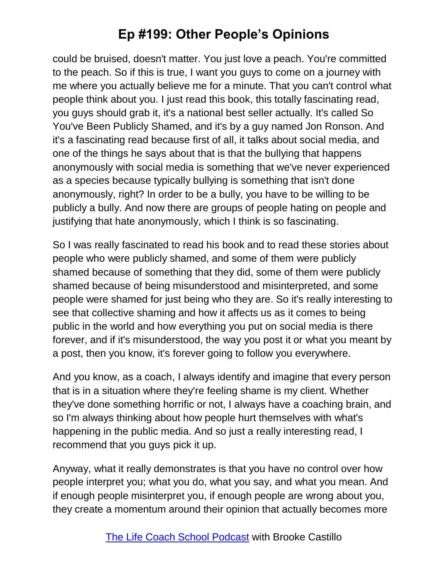could be bruised, doesn't matter. You just love a peach. You're committed to the peach. So if this is true, I want you guys to come on a journey with me where you actually believe me for a minute. That you can't control what people think about you. I just read this book, this totally fascinating read, you guys should grab it, it's a national best seller actually. It's called So You've Been Publicly Shamed, and it's by a guy named Jon Ronson. And it's a fascinating read because first of all, it talks about social media, and one of the things he says about that is that the bullying that happens anonymously with social media is something that we've never experienced as a species because typically bullying is something that isn't done anonymously, right? In order to be a bully, you have to be willing to be publicly a bully. And now there are groups of people hating on people and justifying that hate anonymously, which I think is so fascinating.

So I was really fascinated to read his book and to read these stories about people who were publicly shamed, and some of them were publicly shamed because of something that they did, some of them were publicly shamed because of being misunderstood and misinterpreted, and some people were shamed for just being who they are. So it's really interesting to see that collective shaming and how it affects us as it comes to being public in the world and how everything you put on social media is there forever, and if it's misunderstood, the way you post it or what you meant by a post, then you know, it's forever going to follow you everywhere.

And you know, as a coach, I always identify and imagine that every person that is in a situation where they're feeling shame is my client. Whether they've done something horrific or not, I always have a coaching brain, and so I'm always thinking about how people hurt themselves with what's happening in the public media. And so just a really interesting read, I recommend that you guys pick it up.

Anyway, what it really demonstrates is that you have no control over how people interpret you; what you do, what you say, and what you mean. And if enough people misinterpret you, if enough people are wrong about you, they create a momentum around their opinion that actually becomes more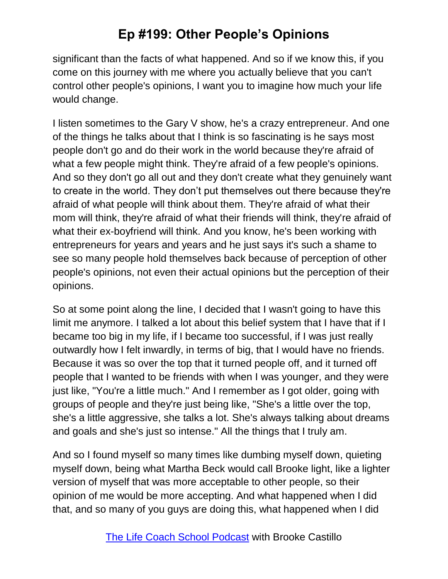significant than the facts of what happened. And so if we know this, if you come on this journey with me where you actually believe that you can't control other people's opinions, I want you to imagine how much your life would change.

I listen sometimes to the Gary V show, he's a crazy entrepreneur. And one of the things he talks about that I think is so fascinating is he says most people don't go and do their work in the world because they're afraid of what a few people might think. They're afraid of a few people's opinions. And so they don't go all out and they don't create what they genuinely want to create in the world. They don't put themselves out there because they're afraid of what people will think about them. They're afraid of what their mom will think, they're afraid of what their friends will think, they're afraid of what their ex-boyfriend will think. And you know, he's been working with entrepreneurs for years and years and he just says it's such a shame to see so many people hold themselves back because of perception of other people's opinions, not even their actual opinions but the perception of their opinions.

So at some point along the line, I decided that I wasn't going to have this limit me anymore. I talked a lot about this belief system that I have that if I became too big in my life, if I became too successful, if I was just really outwardly how I felt inwardly, in terms of big, that I would have no friends. Because it was so over the top that it turned people off, and it turned off people that I wanted to be friends with when I was younger, and they were just like, "You're a little much." And I remember as I got older, going with groups of people and they're just being like, "She's a little over the top, she's a little aggressive, she talks a lot. She's always talking about dreams and goals and she's just so intense." All the things that I truly am.

And so I found myself so many times like dumbing myself down, quieting myself down, being what Martha Beck would call Brooke light, like a lighter version of myself that was more acceptable to other people, so their opinion of me would be more accepting. And what happened when I did that, and so many of you guys are doing this, what happened when I did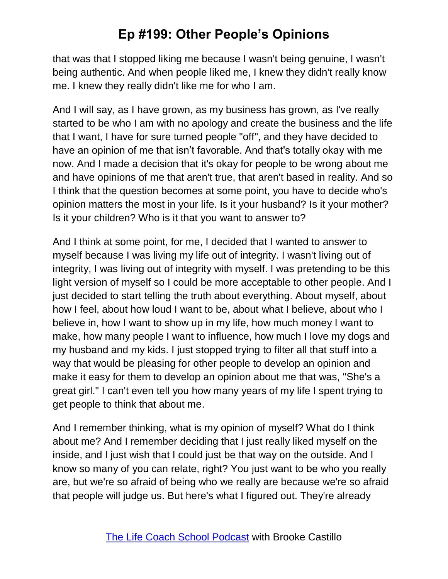that was that I stopped liking me because I wasn't being genuine, I wasn't being authentic. And when people liked me, I knew they didn't really know me. I knew they really didn't like me for who I am.

And I will say, as I have grown, as my business has grown, as I've really started to be who I am with no apology and create the business and the life that I want, I have for sure turned people "off", and they have decided to have an opinion of me that isn't favorable. And that's totally okay with me now. And I made a decision that it's okay for people to be wrong about me and have opinions of me that aren't true, that aren't based in reality. And so I think that the question becomes at some point, you have to decide who's opinion matters the most in your life. Is it your husband? Is it your mother? Is it your children? Who is it that you want to answer to?

And I think at some point, for me, I decided that I wanted to answer to myself because I was living my life out of integrity. I wasn't living out of integrity, I was living out of integrity with myself. I was pretending to be this light version of myself so I could be more acceptable to other people. And I just decided to start telling the truth about everything. About myself, about how I feel, about how loud I want to be, about what I believe, about who I believe in, how I want to show up in my life, how much money I want to make, how many people I want to influence, how much I love my dogs and my husband and my kids. I just stopped trying to filter all that stuff into a way that would be pleasing for other people to develop an opinion and make it easy for them to develop an opinion about me that was, "She's a great girl." I can't even tell you how many years of my life I spent trying to get people to think that about me.

And I remember thinking, what is my opinion of myself? What do I think about me? And I remember deciding that I just really liked myself on the inside, and I just wish that I could just be that way on the outside. And I know so many of you can relate, right? You just want to be who you really are, but we're so afraid of being who we really are because we're so afraid that people will judge us. But here's what I figured out. They're already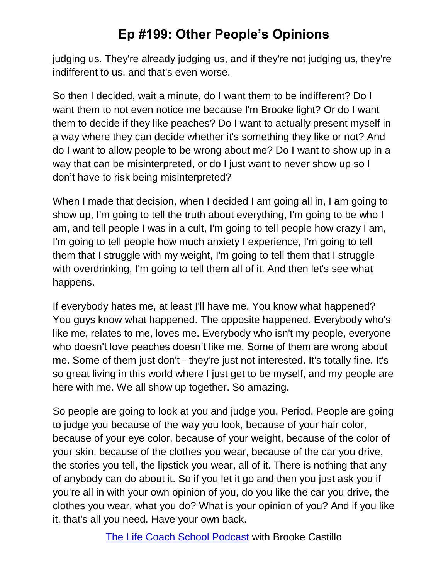judging us. They're already judging us, and if they're not judging us, they're indifferent to us, and that's even worse.

So then I decided, wait a minute, do I want them to be indifferent? Do I want them to not even notice me because I'm Brooke light? Or do I want them to decide if they like peaches? Do I want to actually present myself in a way where they can decide whether it's something they like or not? And do I want to allow people to be wrong about me? Do I want to show up in a way that can be misinterpreted, or do I just want to never show up so I don't have to risk being misinterpreted?

When I made that decision, when I decided I am going all in, I am going to show up, I'm going to tell the truth about everything, I'm going to be who I am, and tell people I was in a cult, I'm going to tell people how crazy I am, I'm going to tell people how much anxiety I experience, I'm going to tell them that I struggle with my weight, I'm going to tell them that I struggle with overdrinking, I'm going to tell them all of it. And then let's see what happens.

If everybody hates me, at least I'll have me. You know what happened? You guys know what happened. The opposite happened. Everybody who's like me, relates to me, loves me. Everybody who isn't my people, everyone who doesn't love peaches doesn't like me. Some of them are wrong about me. Some of them just don't - they're just not interested. It's totally fine. It's so great living in this world where I just get to be myself, and my people are here with me. We all show up together. So amazing.

So people are going to look at you and judge you. Period. People are going to judge you because of the way you look, because of your hair color, because of your eye color, because of your weight, because of the color of your skin, because of the clothes you wear, because of the car you drive, the stories you tell, the lipstick you wear, all of it. There is nothing that any of anybody can do about it. So if you let it go and then you just ask you if you're all in with your own opinion of you, do you like the car you drive, the clothes you wear, what you do? What is your opinion of you? And if you like it, that's all you need. Have your own back.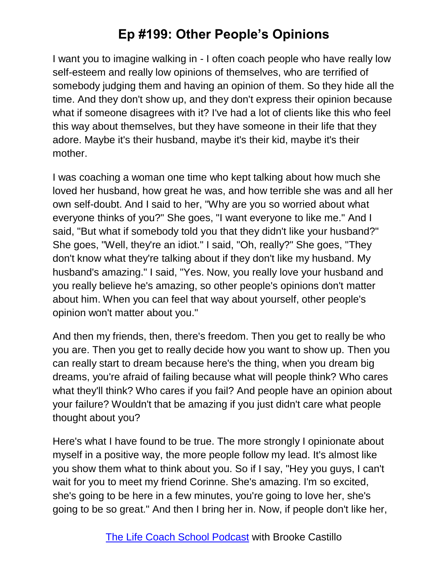I want you to imagine walking in - I often coach people who have really low self-esteem and really low opinions of themselves, who are terrified of somebody judging them and having an opinion of them. So they hide all the time. And they don't show up, and they don't express their opinion because what if someone disagrees with it? I've had a lot of clients like this who feel this way about themselves, but they have someone in their life that they adore. Maybe it's their husband, maybe it's their kid, maybe it's their mother.

I was coaching a woman one time who kept talking about how much she loved her husband, how great he was, and how terrible she was and all her own self-doubt. And I said to her, "Why are you so worried about what everyone thinks of you?" She goes, "I want everyone to like me." And I said, "But what if somebody told you that they didn't like your husband?" She goes, "Well, they're an idiot." I said, "Oh, really?" She goes, "They don't know what they're talking about if they don't like my husband. My husband's amazing." I said, "Yes. Now, you really love your husband and you really believe he's amazing, so other people's opinions don't matter about him. When you can feel that way about yourself, other people's opinion won't matter about you."

And then my friends, then, there's freedom. Then you get to really be who you are. Then you get to really decide how you want to show up. Then you can really start to dream because here's the thing, when you dream big dreams, you're afraid of failing because what will people think? Who cares what they'll think? Who cares if you fail? And people have an opinion about your failure? Wouldn't that be amazing if you just didn't care what people thought about you?

Here's what I have found to be true. The more strongly I opinionate about myself in a positive way, the more people follow my lead. It's almost like you show them what to think about you. So if I say, "Hey you guys, I can't wait for you to meet my friend Corinne. She's amazing. I'm so excited, she's going to be here in a few minutes, you're going to love her, she's going to be so great." And then I bring her in. Now, if people don't like her,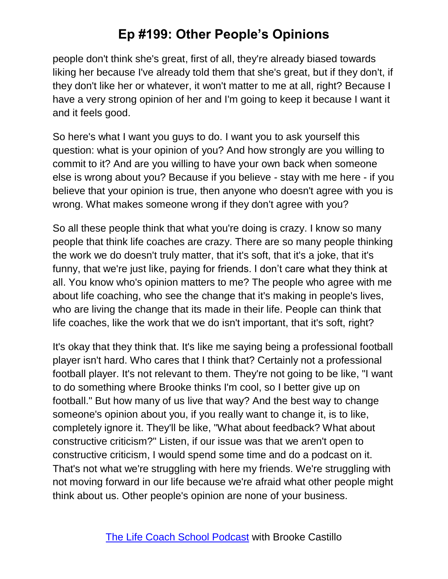people don't think she's great, first of all, they're already biased towards liking her because I've already told them that she's great, but if they don't, if they don't like her or whatever, it won't matter to me at all, right? Because I have a very strong opinion of her and I'm going to keep it because I want it and it feels good.

So here's what I want you guys to do. I want you to ask yourself this question: what is your opinion of you? And how strongly are you willing to commit to it? And are you willing to have your own back when someone else is wrong about you? Because if you believe - stay with me here - if you believe that your opinion is true, then anyone who doesn't agree with you is wrong. What makes someone wrong if they don't agree with you?

So all these people think that what you're doing is crazy. I know so many people that think life coaches are crazy. There are so many people thinking the work we do doesn't truly matter, that it's soft, that it's a joke, that it's funny, that we're just like, paying for friends. I don't care what they think at all. You know who's opinion matters to me? The people who agree with me about life coaching, who see the change that it's making in people's lives, who are living the change that its made in their life. People can think that life coaches, like the work that we do isn't important, that it's soft, right?

It's okay that they think that. It's like me saying being a professional football player isn't hard. Who cares that I think that? Certainly not a professional football player. It's not relevant to them. They're not going to be like, "I want to do something where Brooke thinks I'm cool, so I better give up on football." But how many of us live that way? And the best way to change someone's opinion about you, if you really want to change it, is to like, completely ignore it. They'll be like, "What about feedback? What about constructive criticism?" Listen, if our issue was that we aren't open to constructive criticism, I would spend some time and do a podcast on it. That's not what we're struggling with here my friends. We're struggling with not moving forward in our life because we're afraid what other people might think about us. Other people's opinion are none of your business.